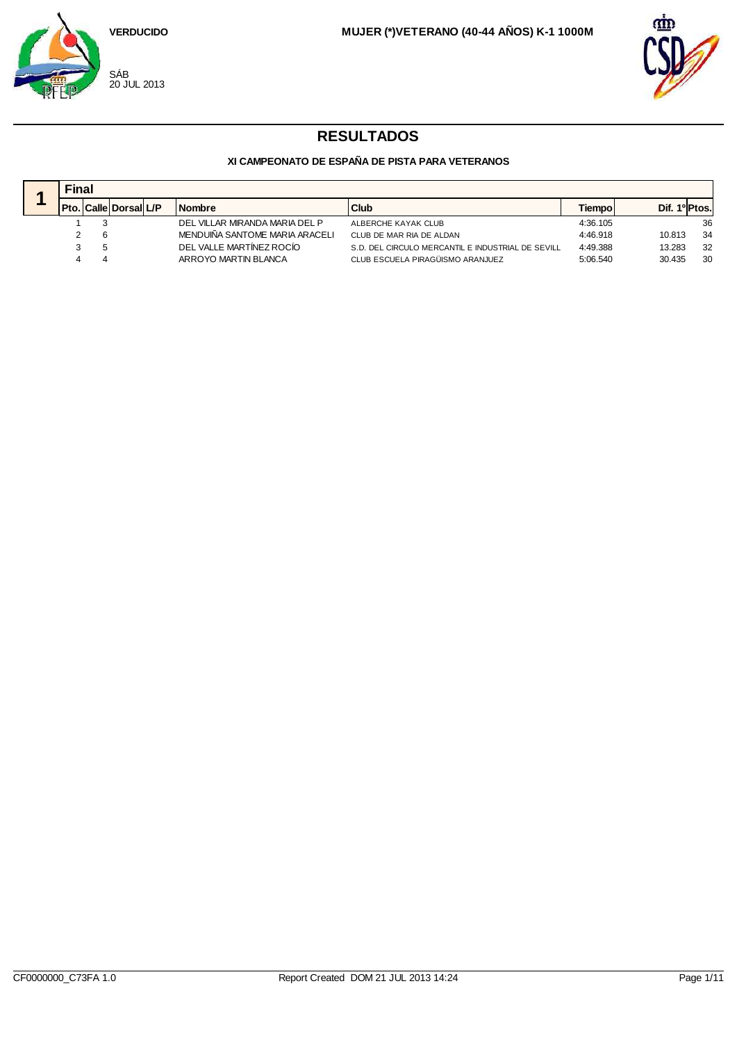



|  | <b>Final</b> |                              |  |                                |                                                   |               |                           |     |  |  |
|--|--------------|------------------------------|--|--------------------------------|---------------------------------------------------|---------------|---------------------------|-----|--|--|
|  |              | <b>Pto. Calle Dorsal L/P</b> |  | <b>Nombre</b>                  | <b>Club</b>                                       | <b>Tiempo</b> | Dif. 1 <sup>o</sup> Ptos. |     |  |  |
|  |              |                              |  | DEL VILLAR MIRANDA MARIA DEL P | ALBERCHE KAYAK CLUB                               | 4:36.105      |                           | 36  |  |  |
|  |              |                              |  | MENDUIÑA SANTOME MARIA ARACELI | CLUB DE MAR RIA DE ALDAN                          | 4:46.918      | 10.813                    | -34 |  |  |
|  |              |                              |  | DEL VALLE MARTÍNEZ ROCÍO       | S.D. DEL CIRCULO MERCANTIL E INDUSTRIAL DE SEVILL | 4:49.388      | 13.283                    | 32  |  |  |
|  |              |                              |  | ARROYO MARTIN BLANCA           | CLUB ESCUELA PIRAGÜISMO ARANJUEZ                  | 5:06.540      | 30.435                    | 30  |  |  |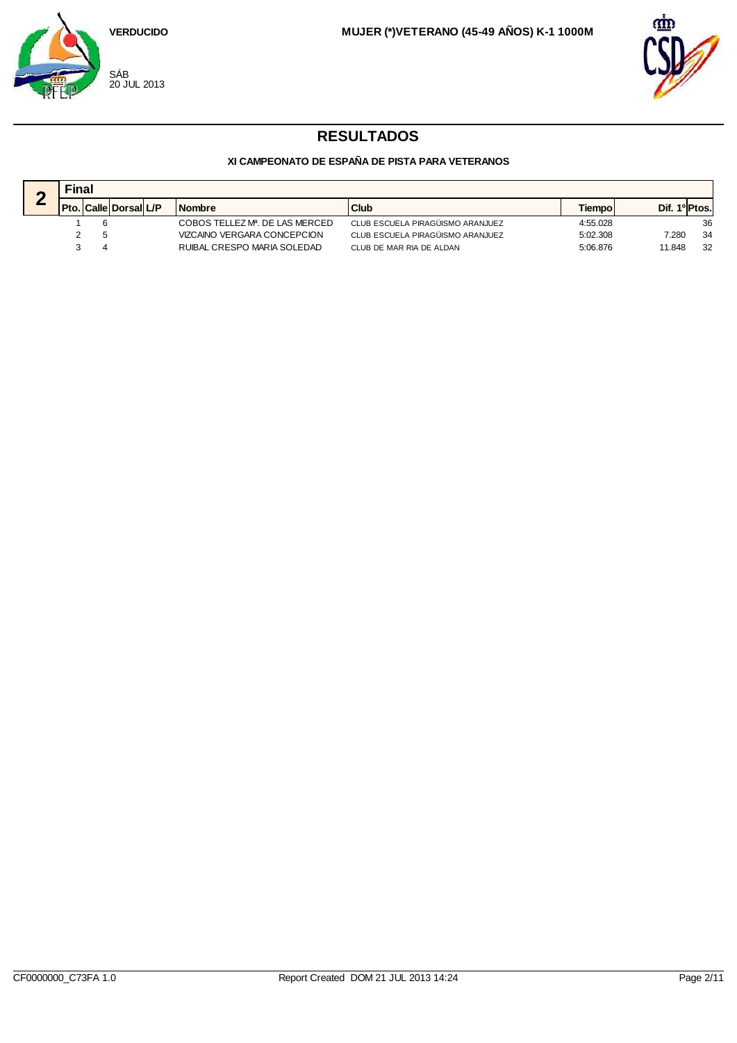



|  | <b>Final</b> |                              |  |                                             |                                  |               |               |  |  |  |
|--|--------------|------------------------------|--|---------------------------------------------|----------------------------------|---------------|---------------|--|--|--|
|  |              | <b>Pto. Calle Dorsal L/P</b> |  | <b>Nombre</b>                               | <b>Club</b>                      | <b>Tiempo</b> | Dif. 1º Ptos. |  |  |  |
|  |              |                              |  | COBOS TELLEZ M <sup>B</sup> . DE LAS MERCED | CLUB ESCUELA PIRAGÜISMO ARANJUEZ | 4:55.028      | 36            |  |  |  |
|  |              |                              |  | VIZCAINO VERGARA CONCEPCION                 | CLUB ESCUELA PIRAGÜISMO ARANJUEZ | 5:02.308      | 34<br>7.280   |  |  |  |
|  |              |                              |  | RUIBAL CRESPO MARIA SOLEDAD                 | CLUB DE MAR RIA DE ALDAN         | 5:06.876      | 32<br>11.848  |  |  |  |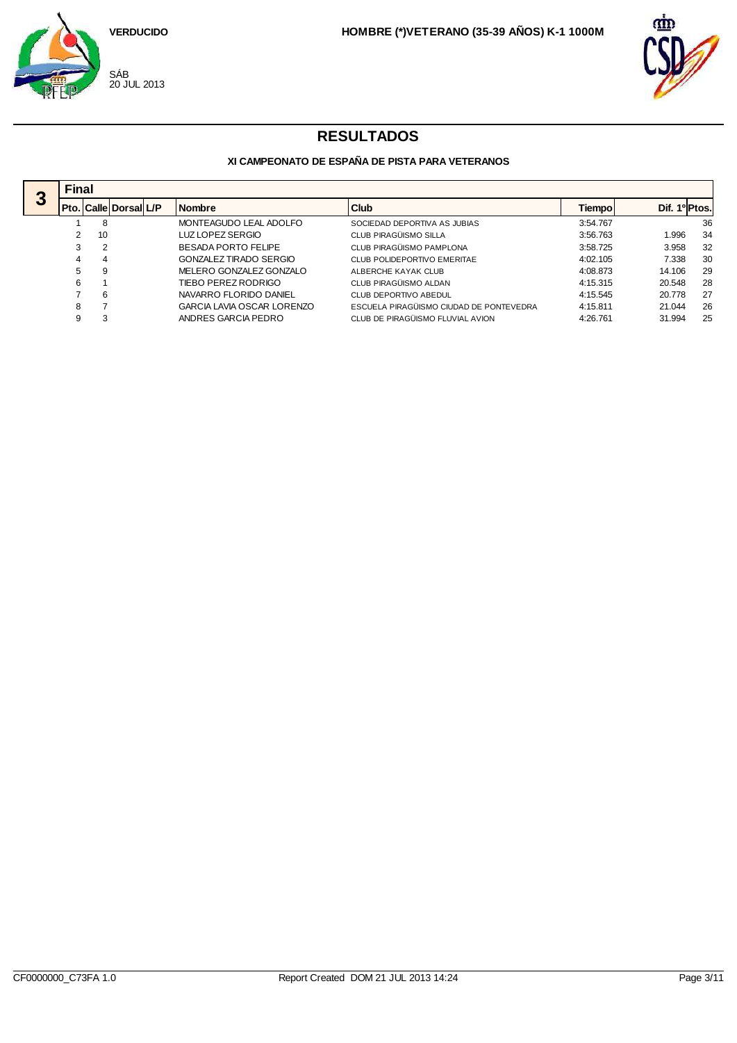



|                  | <b>Final</b> |                             |                            |                                         |          |                           |    |
|------------------|--------------|-----------------------------|----------------------------|-----------------------------------------|----------|---------------------------|----|
| $\boldsymbol{3}$ |              | Pto.   Calle   Dorsal   L/P | <b>Nombre</b>              | Club                                    | Tiempo   | Dif. 1 <sup>o</sup> Ptos. |    |
|                  |              | 8                           | MONTEAGUDO LEAL ADOLFO     | SOCIEDAD DEPORTIVA AS JUBIAS            | 3:54.767 |                           | 36 |
|                  |              | 10                          | LUZ LOPEZ SERGIO           | CLUB PIRAGÜISMO SILLA                   | 3:56.763 | 1.996                     | 34 |
|                  |              | $\overline{2}$              | <b>BESADA PORTO FELIPE</b> | CLUB PIRAGÜISMO PAMPLONA                | 3:58.725 | 3.958                     | 32 |
|                  |              | 4                           | GONZALEZ TIRADO SERGIO     | CLUB POLIDEPORTIVO EMERITAE             | 4:02.105 | 7.338                     | 30 |
|                  | 5            | 9                           | MELERO GONZALEZ GONZALO    | ALBERCHE KAYAK CLUB                     | 4:08.873 | 14.106                    | 29 |
|                  | 6            |                             | TIEBO PEREZ RODRIGO        | CLUB PIRAGÜISMO ALDAN                   | 4:15.315 | 20.548                    | 28 |
|                  |              | 6                           | NAVARRO FLORIDO DANIEL     | CLUB DEPORTIVO ABEDUL                   | 4:15.545 | 20.778                    | 27 |
|                  | 8            |                             | GARCIA LAVIA OSCAR LORENZO | ESCUELA PIRAGÜISMO CIUDAD DE PONTEVEDRA | 4:15.811 | 21.044                    | 26 |
|                  | 9            | 3                           | ANDRES GARCIA PEDRO        | CLUB DE PIRAGÜISMO FLUVIAL AVION        | 4:26.761 | 31.994                    | 25 |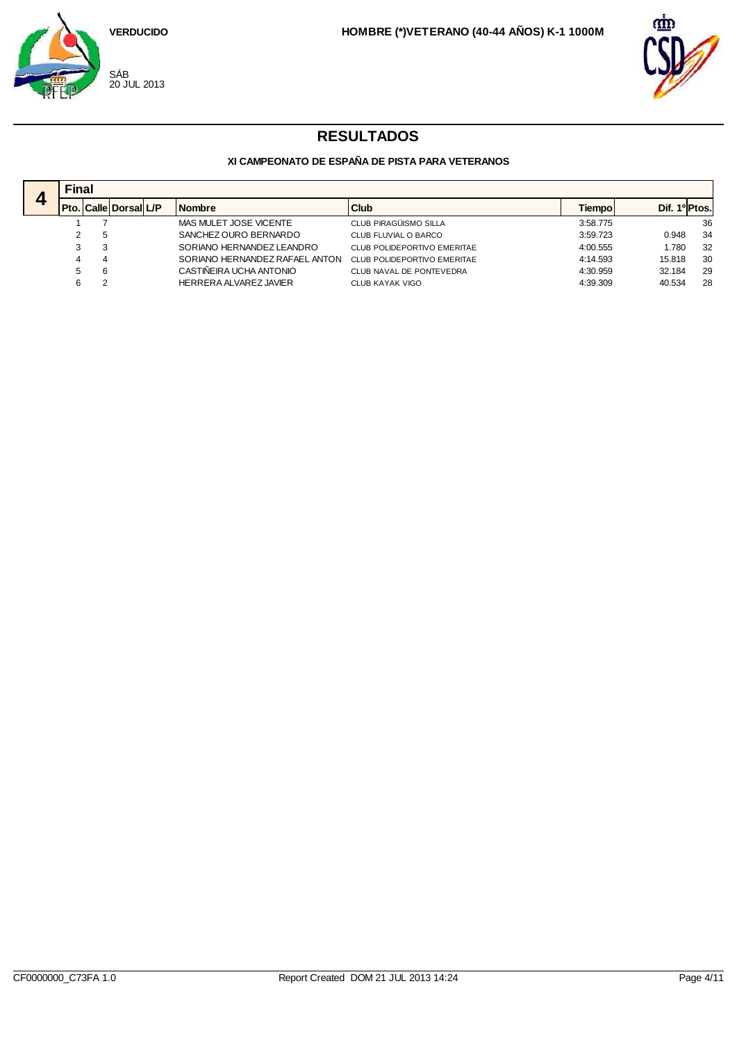



|   |   | <b>Final</b> |                             |  |                                |                             |          |        |               |  |  |  |
|---|---|--------------|-----------------------------|--|--------------------------------|-----------------------------|----------|--------|---------------|--|--|--|
| ◢ |   |              | Pto.   Calle   Dorsal   L/P |  | <b>Nombre</b>                  | Club                        | Tiempol  |        | Dif. 1º Ptos. |  |  |  |
|   |   |              |                             |  | MAS MULET JOSE VICENTE         | CLUB PIRAGÜISMO SILLA       | 3:58.775 |        | 36            |  |  |  |
|   |   | 5            |                             |  | SANCHEZ OURO BERNARDO          | CLUB FLUVIAL O BARCO        | 3:59.723 | 0.948  | 34            |  |  |  |
|   |   | 3            |                             |  | SORIANO HERNANDEZ LEANDRO      | CLUB POLIDEPORTIVO EMERITAE | 4:00.555 | 1.780  | 32            |  |  |  |
|   |   | 4            |                             |  | SORIANO HERNANDEZ RAFAEL ANTON | CLUB POLIDEPORTIVO EMERITAE | 4:14.593 | 15.818 | 30            |  |  |  |
|   | 5 | 6            |                             |  | CASTINEIRA UCHA ANTONIO        | CLUB NAVAL DE PONTEVEDRA    | 4:30.959 | 32.184 | 29            |  |  |  |
|   |   | ົ            |                             |  | HERRERA ALVAREZ JAVIER         | <b>CLUB KAYAK VIGO</b>      | 4:39.309 | 40.534 | 28            |  |  |  |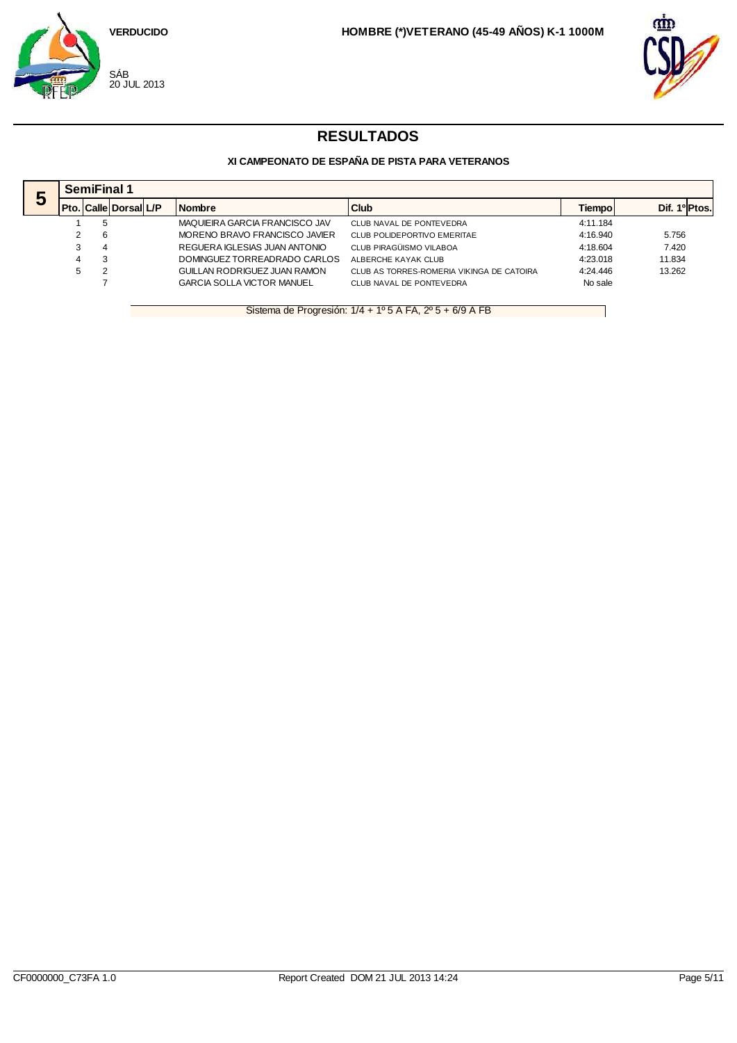



### **XI CAMPEONATO DE ESPAÑA DE PISTA PARA VETERANOS**

|   |   | <b>SemiFinal 1</b>          |  |                                   |                                           |               |                           |  |  |  |  |
|---|---|-----------------------------|--|-----------------------------------|-------------------------------------------|---------------|---------------------------|--|--|--|--|
| Э |   | Pto.   Calle   Dorsal   L/P |  | <b>Nombre</b>                     | Club                                      | <b>Tiempo</b> | Dif. 1 <sup>o</sup> Ptos. |  |  |  |  |
|   |   | 5                           |  | MAQUIEIRA GARCIA FRANCISCO JAV    | CLUB NAVAL DE PONTEVEDRA                  | 4:11.184      |                           |  |  |  |  |
|   | 2 | 6                           |  | MORENO BRAVO FRANCISCO JAVIER     | CLUB POLIDEPORTIVO EMERITAE               | 4:16.940      | 5.756                     |  |  |  |  |
|   | 3 | 4                           |  | REGUERA IGLESIAS JUAN ANTONIO     | CLUB PIRAGÜISMO VILABOA                   | 4:18.604      | 7.420                     |  |  |  |  |
|   | 4 | 3                           |  | DOMINGUEZ TORREADRADO CARLOS      | ALBERCHE KAYAK CLUB                       | 4:23.018      | 11.834                    |  |  |  |  |
|   | 5 |                             |  | GUILLAN RODRIGUEZ JUAN RAMON      | CLUB AS TORRES-ROMERIA VIKINGA DE CATOIRA | 4:24.446      | 13.262                    |  |  |  |  |
|   |   |                             |  | <b>GARCIA SOLLA VICTOR MANUEL</b> | CLUB NAVAL DE PONTEVEDRA                  | No sale       |                           |  |  |  |  |

Sistema de Progresión: 1/4 + 1º 5 A FA, 2º 5 + 6/9 A FB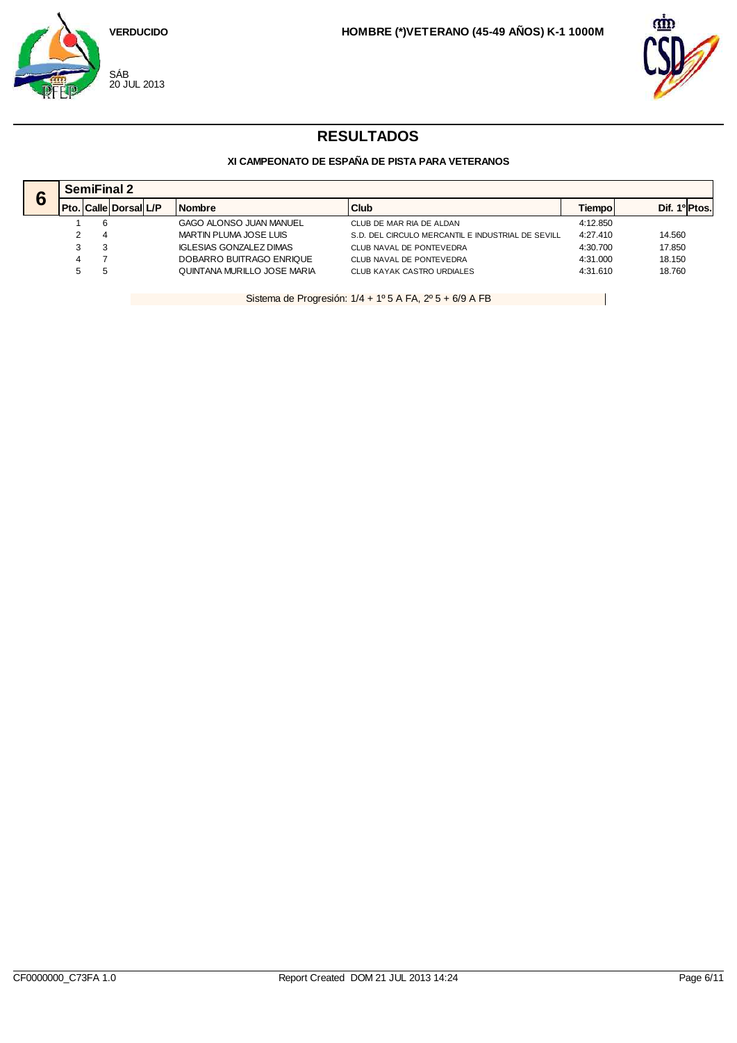



### **XI CAMPEONATO DE ESPAÑA DE PISTA PARA VETERANOS**

| c           |   | <b>SemiFinal 2</b> |                              |  |                             |                                                   |          |                           |  |  |  |
|-------------|---|--------------------|------------------------------|--|-----------------------------|---------------------------------------------------|----------|---------------------------|--|--|--|
| $\mathbf o$ |   |                    | <b>Pto. Calle Dorsal L/P</b> |  | <b>Nombre</b>               | Club                                              | Tiempol  | Dif. 1 <sup>o</sup> Ptos. |  |  |  |
|             |   |                    |                              |  | GAGO ALONSO JUAN MANUEL     | CLUB DE MAR RIA DE ALDAN                          | 4:12.850 |                           |  |  |  |
|             |   |                    |                              |  | MARTIN PLUMA JOSE LUIS      | S.D. DEL CIRCULO MERCANTIL E INDUSTRIAL DE SEVILL | 4:27.410 | 14.560                    |  |  |  |
|             | 3 |                    |                              |  | IGLESIAS GONZALEZ DIMAS     | CLUB NAVAL DE PONTEVEDRA                          | 4:30.700 | 17.850                    |  |  |  |
|             |   |                    |                              |  | DOBARRO BUITRAGO ENRIQUE    | CLUB NAVAL DE PONTEVEDRA                          | 4:31.000 | 18.150                    |  |  |  |
|             |   |                    |                              |  | QUINTANA MURILLO JOSE MARIA | CLUB KAYAK CASTRO URDIALES                        | 4:31.610 | 18.760                    |  |  |  |

Sistema de Progresión: 1/4 + 1º 5 A FA, 2º 5 + 6/9 A FB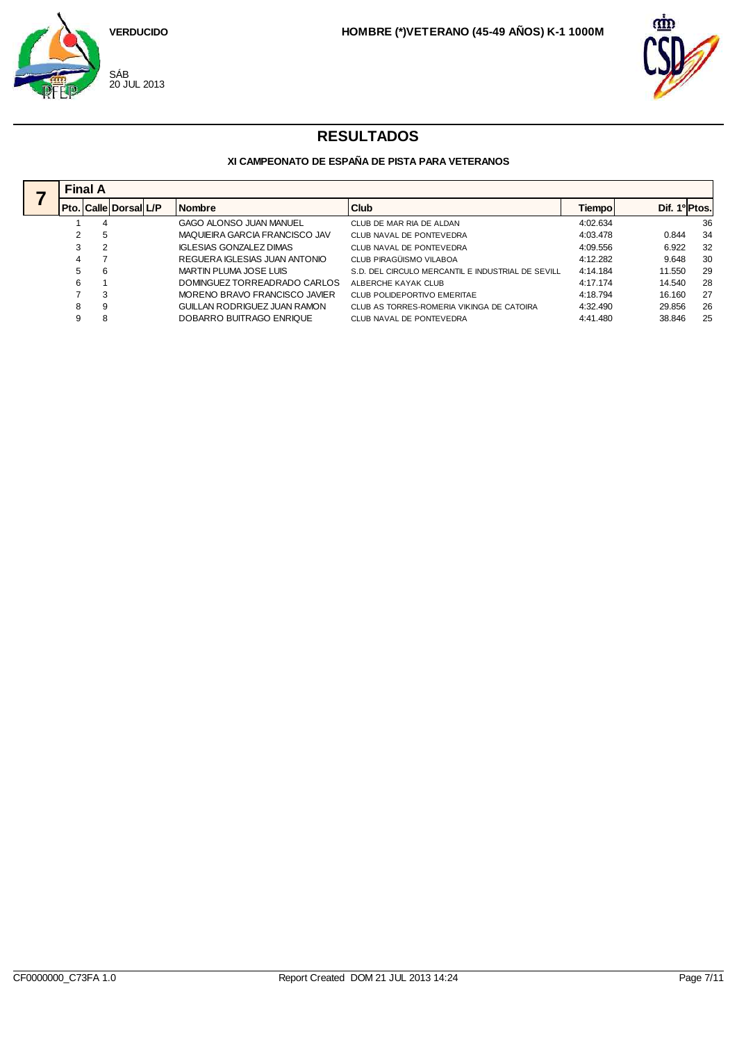



|   | <b>Final A</b>              |  |                                |                                                   |          |                           |    |  |  |  |  |  |
|---|-----------------------------|--|--------------------------------|---------------------------------------------------|----------|---------------------------|----|--|--|--|--|--|
|   | Pto.   Calle   Dorsal   L/P |  | <b>Nombre</b>                  | Club                                              | Tiempo   | Dif. 1 <sup>o</sup> Ptos. |    |  |  |  |  |  |
|   | 4                           |  | GAGO ALONSO JUAN MANUEL        | CLUB DE MAR RIA DE ALDAN                          | 4:02.634 |                           | 36 |  |  |  |  |  |
|   | 5                           |  | MAQUIEIRA GARCIA FRANCISCO JAV | CLUB NAVAL DE PONTEVEDRA                          | 4:03.478 | 0.844                     | 34 |  |  |  |  |  |
|   | $\overline{2}$              |  | <b>IGLESIAS GONZALEZ DIMAS</b> | CLUB NAVAL DE PONTEVEDRA                          | 4:09.556 | 6.922                     | 32 |  |  |  |  |  |
| 4 |                             |  | REGUERA IGLESIAS JUAN ANTONIO  | CLUB PIRAGÜISMO VILABOA                           | 4:12.282 | 9.648                     | 30 |  |  |  |  |  |
| 5 | 6                           |  | MARTIN PLUMA JOSE LUIS         | S.D. DEL CIRCULO MERCANTIL E INDUSTRIAL DE SEVILL | 4:14.184 | 11.550                    | 29 |  |  |  |  |  |
| 6 |                             |  | DOMINGUEZ TORREADRADO CARLOS   | ALBERCHE KAYAK CLUB                               | 4:17.174 | 14.540                    | 28 |  |  |  |  |  |
|   | 3                           |  | MORENO BRAVO FRANCISCO JAVIER  | CLUB POLIDEPORTIVO EMERITAE                       | 4:18.794 | 16.160                    | 27 |  |  |  |  |  |
| 8 | 9                           |  | GUILLAN RODRIGUEZ JUAN RAMON   | CLUB AS TORRES-ROMERIA VIKINGA DE CATOIRA         | 4:32.490 | 29.856                    | 26 |  |  |  |  |  |
| 9 | 8                           |  | DOBARRO BUITRAGO ENRIQUE       | CLUB NAVAL DE PONTEVEDRA                          | 4:41.480 | 38.846                    | 25 |  |  |  |  |  |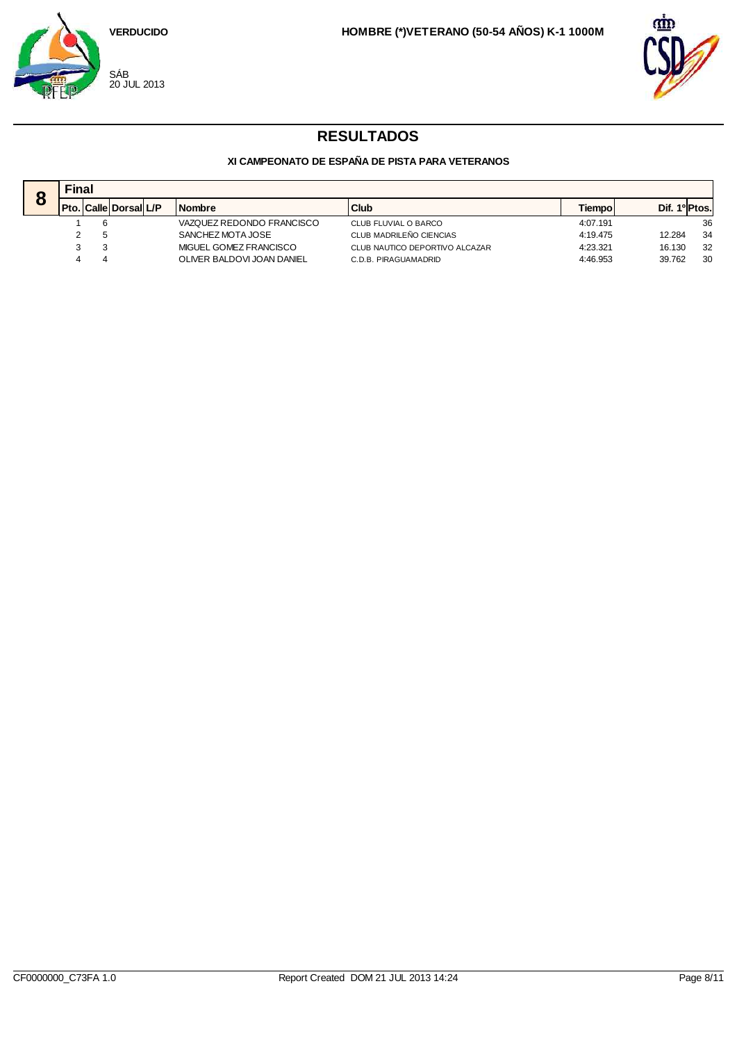



| $\bullet$ | Final |                               |  |                            |                                |               |                           |  |  |  |
|-----------|-------|-------------------------------|--|----------------------------|--------------------------------|---------------|---------------------------|--|--|--|
| O         |       | l Pto.   Calle   Dorsal   L/P |  | <b>Nombre</b>              | <b>Club</b>                    | <b>Tiempo</b> | Dif. 1 <sup>o</sup> Ptos. |  |  |  |
|           |       |                               |  | VAZQUEZ REDONDO FRANCISCO  | CLUB FLUVIAL O BARCO           | 4:07.191      | 36                        |  |  |  |
|           |       |                               |  | SANCHEZ MOTA JOSE          | CLUB MADRILEÑO CIENCIAS        | 4:19.475      | -34<br>12.284             |  |  |  |
|           |       |                               |  | MIGUEL GOMEZ FRANCISCO     | CLUB NAUTICO DEPORTIVO ALCAZAR | 4:23.321      | 32<br>16.130              |  |  |  |
|           |       |                               |  | OLIVER BALDOVI JOAN DANIEL | C.D.B. PIRAGUAMADRID           | 4:46.953      | 30<br>39.762              |  |  |  |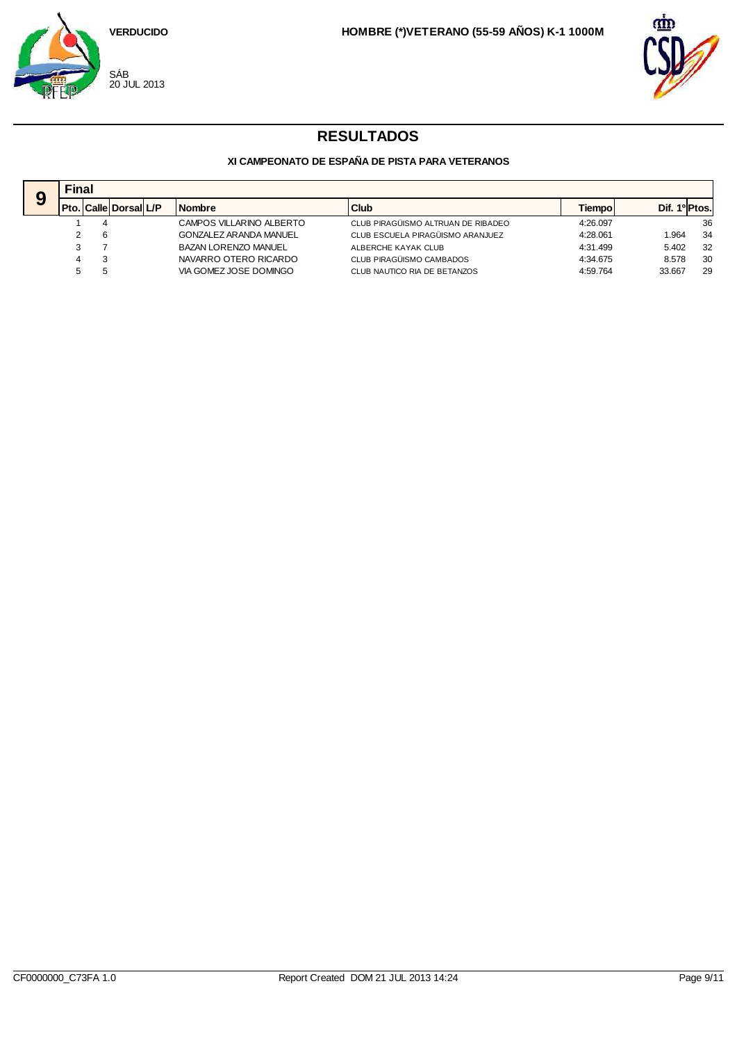



|   |      | <b>Final</b> |                    |  |                               |                                    |          |               |    |  |  |
|---|------|--------------|--------------------|--|-------------------------------|------------------------------------|----------|---------------|----|--|--|
| 9 | Pto. |              | . Calle Dorsal L/P |  | <b>Nombre</b>                 | <b>Club</b>                        | Tiempo   | Dif. 1º Ptos. |    |  |  |
|   |      | 4            |                    |  | CAMPOS VILLARINO ALBERTO      | CLUB PIRAGÜISMO ALTRUAN DE RIBADEO | 4:26.097 |               | 36 |  |  |
|   |      | -6           |                    |  | <b>GONZALEZ ARANDA MANUEL</b> | CLUB ESCUELA PIRAGÜISMO ARANJUEZ   | 4:28.061 | .964          | 34 |  |  |
|   |      |              |                    |  | <b>BAZAN LORENZO MANUEL</b>   | ALBERCHE KAYAK CLUB                | 4:31.499 | 5.402         | 32 |  |  |
|   | 4    |              |                    |  | NAVARRO OTERO RICARDO         | CLUB PIRAGÜISMO CAMBADOS           | 4:34.675 | 8.578         | 30 |  |  |
|   | 5    |              |                    |  | VIA GOMEZ JOSE DOMINGO        | CLUB NAUTICO RIA DE BETANZOS       | 4:59.764 | 33.667        | 29 |  |  |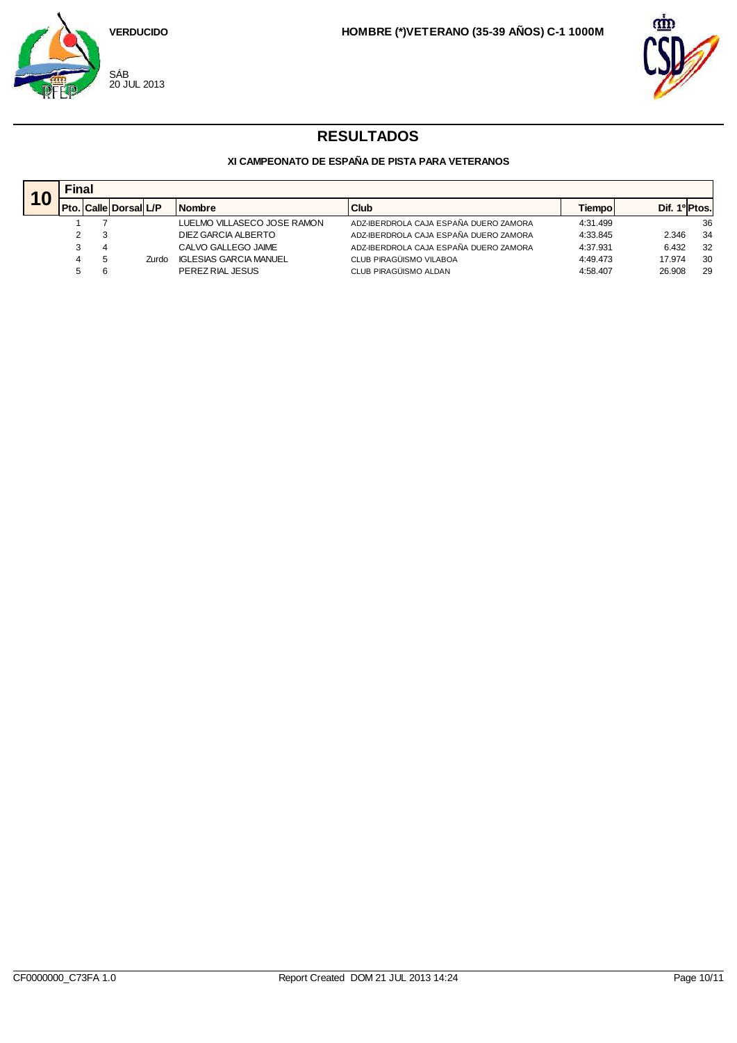



|     | Final |                             |       |                               |                                        |          |                           |    |  |  |
|-----|-------|-----------------------------|-------|-------------------------------|----------------------------------------|----------|---------------------------|----|--|--|
| TV. |       | Pto.   Calle   Dorsal   L/P |       | <b>Nombre</b>                 | Club                                   | Tiempol  | Dif. 1 <sup>o</sup> Ptos. |    |  |  |
|     |       |                             |       | LUELMO VILLASECO JOSE RAMON   | ADZ-IBERDROLA CAJA ESPAÑA DUERO ZAMORA | 4:31.499 |                           | 36 |  |  |
|     |       |                             |       | DIEZ GARCIA ALBERTO           | ADZ-IBERDROLA CAJA ESPAÑA DUERO ZAMORA | 4:33.845 | 2.346                     | 34 |  |  |
|     |       |                             |       | CALVO GALLEGO JAIME           | ADZ-IBERDROLA CAJA ESPAÑA DUERO ZAMORA | 4:37.931 | 6.432                     | 32 |  |  |
|     |       |                             | Zurdo | <b>IGLESIAS GARCIA MANUEL</b> | CLUB PIRAGÜISMO VILABOA                | 4:49.473 | 17.974                    | 30 |  |  |
|     |       |                             |       | PEREZ RIAL JESUS              | CLUB PIRAGÜISMO ALDAN                  | 4:58.407 | 26.908                    | 29 |  |  |